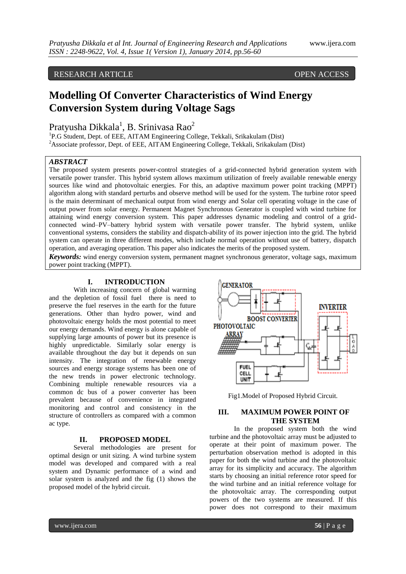# RESEARCH ARTICLE OPEN ACCESS

# **Modelling Of Converter Characteristics of Wind Energy Conversion System during Voltage Sags**

# Pratyusha Dikkala $^1$ , B. Srinivasa Rao $^2$

<sup>1</sup>P.G Student, Dept. of EEE, AITAM Engineering College, Tekkali, Srikakulam (Dist) <sup>2</sup>Associate professor, Dept. of EEE, AITAM Engineering College, Tekkali, Srikakulam (Dist)

## *ABSTRACT*

The proposed system presents power-control strategies of a grid-connected hybrid generation system with versatile power transfer. This hybrid system allows maximum utilization of freely available renewable energy sources like wind and photovoltaic energies. For this, an adaptive maximum power point tracking (MPPT) algorithm along with standard perturbs and observe method will be used for the system. The turbine rotor speed is the main determinant of mechanical output from wind energy and Solar cell operating voltage in the case of output power from solar energy. Permanent Magnet Synchronous Generator is coupled with wind turbine for attaining wind energy conversion system. This paper addresses dynamic modeling and control of a gridconnected wind–PV–battery hybrid system with versatile power transfer. The hybrid system, unlike conventional systems, considers the stability and dispatch-ability of its power injection into the grid. The hybrid system can operate in three different modes, which include normal operation without use of battery, dispatch operation, and averaging operation. This paper also indicates the merits of the proposed system.

*Keywords:* wind energy conversion system, permanent magnet synchronous generator, voltage sags, maximum power point tracking (MPPT).

# **I. INTRODUCTION**

With increasing concern of global warming and the depletion of fossil fuel there is need to preserve the fuel reserves in the earth for the future generations. Other than hydro power, wind and photovoltaic energy holds the most potential to meet our energy demands. Wind energy is alone capable of supplying large amounts of power but its presence is highly unpredictable. Similarly solar energy is available throughout the day but it depends on sun intensity. The integration of renewable energy sources and energy storage systems has been one of the new trends in power electronic technology. Combining multiple renewable resources via a common dc bus of a power converter has been prevalent because of convenience in integrated monitoring and control and consistency in the structure of controllers as compared with a common ac type.

#### **II. PROPOSED MODEL**

Several methodologies are present for optimal design or unit sizing. A wind turbine system model was developed and compared with a real system and Dynamic performance of a wind and solar system is analyzed and the fig (1) shows the proposed model of the hybrid circuit.



Fig1.Model of Proposed Hybrid Circuit.

## **III. MAXIMUM POWER POINT OF THE SYSTEM**

In the proposed system both the wind turbine and the photovoltaic array must be adjusted to operate at their point of maximum power. The perturbation observation method is adopted in this paper for both the wind turbine and the photovoltaic array for its simplicity and accuracy. The algorithm starts by choosing an initial reference rotor speed for the wind turbine and an initial reference voltage for the photovoltaic array. The corresponding output powers of the two systems are measured. If this power does not correspond to their maximum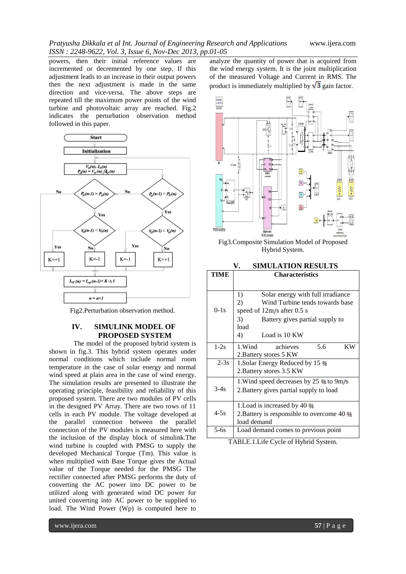powers, then their initial reference values are incremented or decremented by one step. If this adjustment leads to an increase in their output powers then the next adjustment is made in the same direction and vice-versa. The above steps are repeated till the maximum power points of the wind turbine and photovoltaic array are reached. Fig.2 indicates the perturbation observation method followed in this paper.



Fig2.Perturbation observation method.

### **IV. SIMULINK MODEL OF PROPOSED SYSTEM**

The model of the proposed hybrid system is shown in fig.3. This hybrid system operates under normal conditions which include normal room temperature in the case of solar energy and normal wind speed at plain area in the case of wind energy. The simulation results are presented to illustrate the operating principle, feasibility and reliability of this proposed system. There are two modules of PV cells in the designed PV Array. There are two rows of 11 cells in each PV module. The voltage developed at the parallel connection between the parallel connection of the PV modules is measured here with the inclusion of the display block of simulink.The wind turbine is coupled with PMSG to supply the developed Mechanical Torque (Tm). This value is when multiplied with Base Torque gives the Actual value of the Torque needed for the PMSG The rectifier connected after PMSG performs the duty of converting the AC power into DC power to be utilized along with generated wind DC power for united converting into AC power to be supplied to load. The Wind Power (Wp) is computed here to

analyze the quantity of power that is acquired from the wind energy system. It is the joint multiplication of the measured Voltage and Current in RMS. The product is immediately multiplied by  $\sqrt{3}$  gain factor.



Fig3.Composite Simulation Model of Proposed Hybrid System.

**V. SIMULATION RESULTS**

| TIME   | <b>Characteristics</b>                               |  |  |  |
|--------|------------------------------------------------------|--|--|--|
|        |                                                      |  |  |  |
|        | Solar energy with full irradiance<br>1)              |  |  |  |
|        | Wind Turbine tends towards base<br>2)                |  |  |  |
| $0-1s$ | speed of $12m/s$ after 0.5 s                         |  |  |  |
|        | 3)<br>Battery gives partial supply to                |  |  |  |
|        | load                                                 |  |  |  |
|        | 4)<br>Load is 10 KW                                  |  |  |  |
| $1-2s$ | 1.Wind<br>5.6<br>KW<br>achieves                      |  |  |  |
|        | 2. Battery stores 5 KW                               |  |  |  |
| $2-3s$ | 1.Solar Energy Reduced by 15 %                       |  |  |  |
|        | 2. Battery stores 3.5 KW                             |  |  |  |
|        | 1. Wind speed decreases by 25 $\frac{6}{10}$ to 9m/s |  |  |  |
| $3-4s$ | 2. Battery gives partial supply to load              |  |  |  |
|        | 1. Load is increased by 40 %                         |  |  |  |
| $4-5s$ | 2. Battery is responsible to overcome 40 %           |  |  |  |
|        | load demand                                          |  |  |  |
| $5-6s$ | Load demand comes to previous point                  |  |  |  |
|        | $\sim -1$                                            |  |  |  |

TABLE.1.Life Cycle of Hybrid System.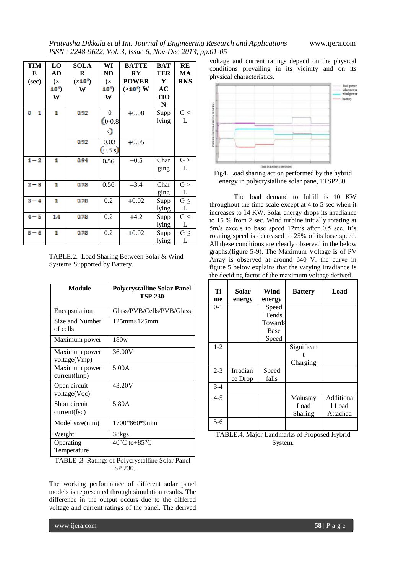*Pratyusha Dikkala et al Int. Journal of Engineering Research and Applications* www.ijera.com *ISSN : 2248-9622, Vol. 3, Issue 6, Nov-Dec 2013, pp.01-05*

| TIM<br>E<br>(sec) | LO<br>AD<br>(x)<br>10 <sup>4</sup><br>W | <b>SOLA</b><br>R<br>$(x10^4)$<br>W | WI<br><b>ND</b><br>(x)<br>10 <sup>4</sup><br>W | <b>BATTE</b><br>$\mathbf{R}\mathbf{Y}$<br><b>POWER</b><br>$(\times$ 10 <sup>4</sup> ) W | <b>BAT</b><br>TER<br>Y<br>AC<br>TIO<br>N | RE<br>MA<br><b>RKS</b> |
|-------------------|-----------------------------------------|------------------------------------|------------------------------------------------|-----------------------------------------------------------------------------------------|------------------------------------------|------------------------|
| $0 - 1$           | 1                                       | 0.92                               | $\Omega$<br>$(0-0.8)$<br>s)                    | $+0.08$                                                                                 | Supp<br>lying                            | G<<br>L                |
|                   |                                         | 0.92                               | 0.03<br>(0.8 s)                                | $+0.05$                                                                                 |                                          |                        |
| $1 - 2$           | 1                                       | 0.94                               | 0.56                                           | $-0.5$                                                                                  | Char<br>ging                             | G ><br>L               |
| $2 - 3$           | 1                                       | 0.78                               | 0.56                                           | $-3.4$                                                                                  | Char<br>ging                             | G ><br>L               |
| $3 - 4$           | 1                                       | 0.78                               | 0.2                                            | $+0.02$                                                                                 | Supp<br>lying                            | $G \leq$<br>L          |
| $4 - 5$           | 1.4                                     | 0.78                               | 0.2                                            | $+4.2$                                                                                  | Supp<br>lying                            | G<<br>L                |
| $5 - 6$           | 1                                       | 0.78                               | 0.2                                            | $+0.02$                                                                                 | Supp<br>lying                            | $G \leq$<br>L          |

TABLE.2. Load Sharing Between Solar & Wind Systems Supported by Battery.

| Module                        | <b>Polycrystalline Solar Panel</b><br><b>TSP 230</b> |
|-------------------------------|------------------------------------------------------|
| Encapsulation                 | Glass/PVB/Cells/PVB/Glass                            |
| Size and Number<br>of cells   | $125$ mm $\times$ 125mm                              |
| Maximum power                 | 180w                                                 |
| Maximum power<br>voltage(Vmp) | 36.00V                                               |
| Maximum power<br>current(Imp) | 5.00A                                                |
| Open circuit<br>voltage(Voc)  | 43.20V                                               |
| Short circuit<br>current(Isc) | 5.80A                                                |
| Model size(mm)                | 1700*860*9mm                                         |
| Weight                        | 38kgs                                                |
| Operating<br>Temperature      | $40^{\circ}$ C to +85 $^{\circ}$ C                   |

TABLE .3 .Ratings of Polycrystalline Solar Panel TSP 230.

The working performance of different solar panel models is represented through simulation results. The difference in the output occurs due to the differed voltage and current ratings of the panel. The derived

voltage and current ratings depend on the physical conditions prevailing in its vicinity and on its physical characteristics.



Fig4. Load sharing action performed by the hybrid energy in polycrystalline solar pane, 1TSP230.

The load demand to fulfill is 10 KW throughout the time scale except at 4 to 5 sec when it increases to 14 KW. Solar energy drops its irradiance to 15 % from 2 sec. Wind turbine initially rotating at 5m/s excels to base speed 12m/s after 0.5 sec. It's rotating speed is decreased to 25% of its base speed. All these conditions are clearly observed in the below graphs.(figure 5-9). The Maximum Voltage is of PV Array is observed at around 640 V. the curve in figure 5 below explains that the varying irradiance is the deciding factor of the maximum voltage derived.

| Ti      | Solar    | Wind    | <b>Battery</b> | Load      |
|---------|----------|---------|----------------|-----------|
| me      | energy   | energy  |                |           |
| $0 - 1$ |          | Speed   |                |           |
|         |          | Tends   |                |           |
|         |          | Towards |                |           |
|         |          | Base    |                |           |
|         |          | Speed   |                |           |
| $1 - 2$ |          |         | Significan     |           |
|         |          |         |                |           |
|         |          |         | Charging       |           |
| $2 - 3$ | Irradian | Speed   |                |           |
|         | ce Drop  | falls   |                |           |
| $3 - 4$ |          |         |                |           |
| $4 - 5$ |          |         | Mainstay       | Additiona |
|         |          |         | Load           | 1 Load    |
|         |          |         | Sharing        | Attached  |
| 5-6     |          |         |                |           |

TABLE.4. Major Landmarks of Proposed Hybrid System.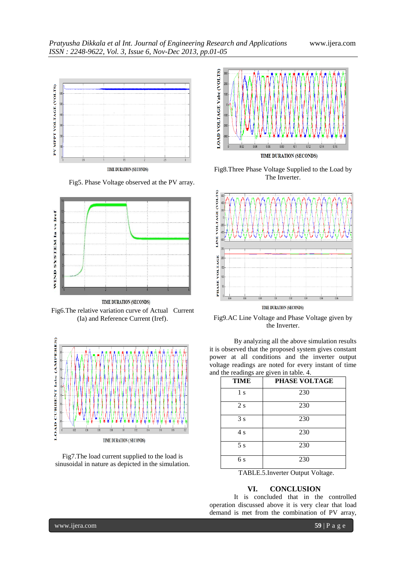*Pratyusha Dikkala et al Int. Journal of Engineering Research and Applications* www.ijera.com *ISSN : 2248-9622, Vol. 3, Issue 6, Nov-Dec 2013, pp.01-05*



Fig5. Phase Voltage observed at the PV array.



TIME DURATION (SECONDS) Fig6.The relative variation curve of Actual Current (Ia) and Reference Current (Iref).



Fig7.The load current supplied to the load is sinusoidal in nature as depicted in the simulation.



Fig8.Three Phase Voltage Supplied to the Load by The Inverter.



Fig9.AC Line Voltage and Phase Voltage given by the Inverter.

By analyzing all the above simulation results it is observed that the proposed system gives constant power at all conditions and the inverter output voltage readings are noted for every instant of time and the readings are given in table. 4.

| <b>TIME</b>                                                                                                                                                                                                                                                                                      | پ<br>PHASE VOLTAGE |  |  |
|--------------------------------------------------------------------------------------------------------------------------------------------------------------------------------------------------------------------------------------------------------------------------------------------------|--------------------|--|--|
| 1 s                                                                                                                                                                                                                                                                                              | 230                |  |  |
| 2s                                                                                                                                                                                                                                                                                               | 230                |  |  |
| 3s                                                                                                                                                                                                                                                                                               | 230                |  |  |
| 4s                                                                                                                                                                                                                                                                                               | 230                |  |  |
| 5s                                                                                                                                                                                                                                                                                               | 230                |  |  |
| 6s                                                                                                                                                                                                                                                                                               | 230                |  |  |
| $\mathbf{m}$ and $\mathbf{r}$ and $\mathbf{r}$ and $\mathbf{r}$ and $\mathbf{r}$ and $\mathbf{r}$ and $\mathbf{r}$ and $\mathbf{r}$ and $\mathbf{r}$ and $\mathbf{r}$ and $\mathbf{r}$ and $\mathbf{r}$ and $\mathbf{r}$ and $\mathbf{r}$ and $\mathbf{r}$ and $\mathbf{r}$ and $\mathbf{r}$ and |                    |  |  |

TABLE.5.Inverter Output Voltage.

#### **VI. CONCLUSION**

It is concluded that in the controlled operation discussed above it is very clear that load demand is met from the combination of PV array,